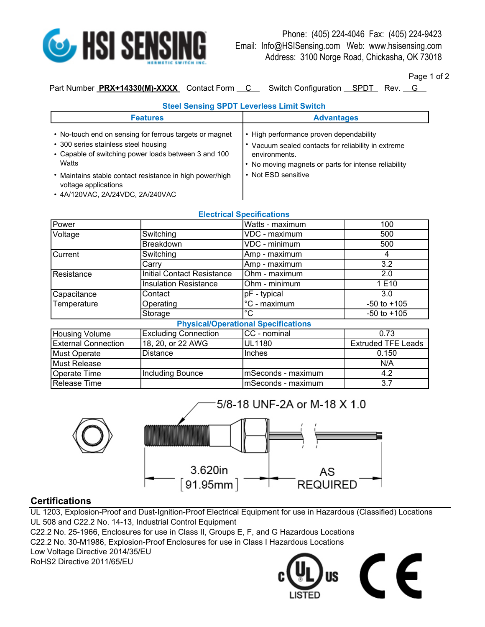

Page 1 of 2

Part Number **PRX+14330(M)-XXXX** Contact Form C Switch Configuration SPDT Rev. G

## **Steel Sensing SPDT Leverless Limit Switch**

| <b>Features</b>                                                                                                                                                                                                                                                                          | <b>Advantages</b>                                                                                                                                                                            |
|------------------------------------------------------------------------------------------------------------------------------------------------------------------------------------------------------------------------------------------------------------------------------------------|----------------------------------------------------------------------------------------------------------------------------------------------------------------------------------------------|
| • No-touch end on sensing for ferrous targets or magnet<br>• 300 series stainless steel housing<br>• Capable of switching power loads between 3 and 100<br>Watts<br>* Maintains stable contact resistance in high power/high<br>voltage applications<br>• 4A/120VAC, 2A/24VDC, 2A/240VAC | • High performance proven dependability<br>Vacuum sealed contacts for reliability in extreme<br>environments.<br>• No moving magnets or parts for intense reliability<br>• Not ESD sensitive |

| EIGUILIUM OPGUILUMIOIIS                    |                                   |                          |                           |  |
|--------------------------------------------|-----------------------------------|--------------------------|---------------------------|--|
| Power                                      |                                   | Watts - maximum          | 100                       |  |
| Voltage                                    | Switching                         | VDC - maximum            | 500                       |  |
|                                            | Breakdown                         | VDC - minimum            | 500                       |  |
| Current                                    | Switching                         | Amp - maximum            | 4                         |  |
|                                            | Carry                             | Amp - maximum            | 3.2                       |  |
| Resistance                                 | <b>Initial Contact Resistance</b> | Ohm - maximum            | 2.0                       |  |
|                                            | <b>Insulation Resistance</b>      | Ohm - minimum            | 1 E10                     |  |
| Capacitance                                | Contact                           | pF - typical             | 3.0                       |  |
| Temperature                                | Operating                         | $\overline{C}$ - maximum | $-50$ to $+105$           |  |
|                                            | Storage                           | °C                       | $-50$ to $+105$           |  |
| <b>Physical/Operational Specifications</b> |                                   |                          |                           |  |
| <b>Housing Volume</b>                      | <b>Excluding Connection</b>       | CC - nominal             | 0.73                      |  |
| <b>External Connection</b>                 | 18, 20, or 22 AWG                 | <b>UL1180</b>            | <b>Extruded TFE Leads</b> |  |
| <b>Must Operate</b>                        | <b>Distance</b>                   | Inches                   | 0.150                     |  |
| Must Release                               |                                   |                          | N/A                       |  |
| <b>Operate Time</b>                        | Including Bounce                  | mSeconds - maximum       | 4.2                       |  |
| Release Time                               |                                   | mSeconds - maximum       | 3.7                       |  |



## **Certifications**

UL 1203, Explosion-Proof and Dust-Ignition-Proof Electrical Equipment for use in Hazardous (Classified) Locations UL 508 and C22.2 No. 14-13, Industrial Control Equipment

C22.2 No. 25-1966, Enclosures for use in Class II, Groups E, F, and G Hazardous Locations

C22.2 No. 30-M1986, Explosion-Proof Enclosures for use in Class I Hazardous Locations

Low Voltage Directive 2014/35/EU

RoHS2 Directive 2011/65/EU

## E

## **Electrical Specifications**